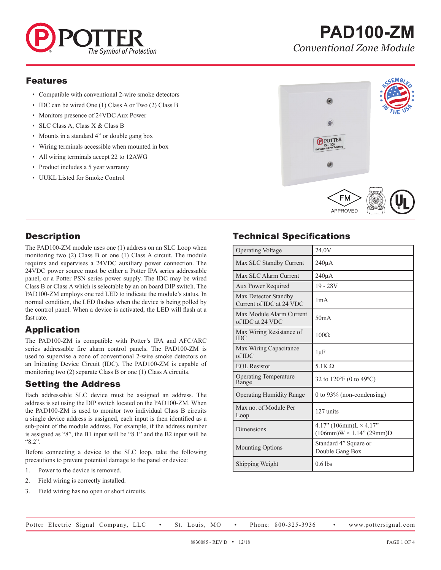

#### Features

- Compatible with conventional 2-wire smoke detectors
- IDC can be wired One (1) Class A or Two (2) Class B
- Monitors presence of 24VDC Aux Power
- SLC Class A, Class X & Class B
- Mounts in a standard 4" or double gang box
- Wiring terminals accessible when mounted in box
- All wiring terminals accept 22 to 12AWG
- Product includes a 5 year warranty
- UUKL Listed for Smoke Control



### **Description**

The PAD100-ZM module uses one (1) address on an SLC Loop when monitoring two (2) Class B or one (1) Class A circuit. The module requires and supervises a 24VDC auxiliary power connection. The 24VDC power source must be either a Potter IPA series addressable panel, or a Potter PSN series power supply. The IDC may be wired Class B or Class A which is selectable by an on board DIP switch. The PAD100-ZM employs one red LED to indicate the module's status. In normal condition, the LED flashes when the device is being polled by the control panel. When a device is activated, the LED will flash at a fast rate.

# Application

The PAD100-ZM is compatible with Potter's IPA and AFC/ARC series addressable fire alarm control panels. The PAD100-ZM is used to supervise a zone of conventional 2-wire smoke detectors on an Initiating Device Circuit (IDC). The PAD100-ZM is capable of monitoring two (2) separate Class B or one (1) Class A circuits.

### Setting the Address

Each addressable SLC device must be assigned an address. The address is set using the DIP switch located on the PAD100-ZM. When the PAD100-ZM is used to monitor two individual Class B circuits a single device address is assigned, each input is then identified as a sub-point of the module address. For example, if the address number is assigned as "8", the B1 input will be "8.1" and the B2 input will be "8.2".

Before connecting a device to the SLC loop, take the following precautions to prevent potential damage to the panel or device:

- 1. Power to the device is removed.
- 2. Field wiring is correctly installed.
- 3. Field wiring has no open or short circuits.

# Technical Specifications

| <b>Operating Voltage</b>                         | 24.0V                                                            |
|--------------------------------------------------|------------------------------------------------------------------|
| Max SLC Standby Current                          | $240\mu A$                                                       |
| Max SLC Alarm Current                            | $240\mu A$                                                       |
| Aux Power Required                               | $19 - 28V$                                                       |
| Max Detector Standby<br>Current of IDC at 24 VDC | 1 <sub>m</sub> A                                                 |
| Max Module Alarm Current<br>of IDC at 24 VDC     | 50mA                                                             |
| Max Wiring Resistance of<br><b>IDC</b>           | $100\Omega$                                                      |
| Max Wiring Capacitance<br>of <sub>IDC</sub>      | $1 \mu F$                                                        |
| <b>EOL</b> Resistor                              | 5.1 $K$ $\Omega$                                                 |
| <b>Operating Temperature</b><br>Range            | 32 to 120°F (0 to 49°C)                                          |
| <b>Operating Humidity Range</b>                  | 0 to 93% (non-condensing)                                        |
| Max no. of Module Per<br>Loop                    | 127 units                                                        |
| Dimensions                                       | 4.17" $(106mm)L \times 4.17"$<br>$(106mm)W \times 1.14" (29mm)D$ |
| <b>Mounting Options</b>                          | Standard 4" Square or<br>Double Gang Box                         |
| Shipping Weight                                  | $0.6$ lbs                                                        |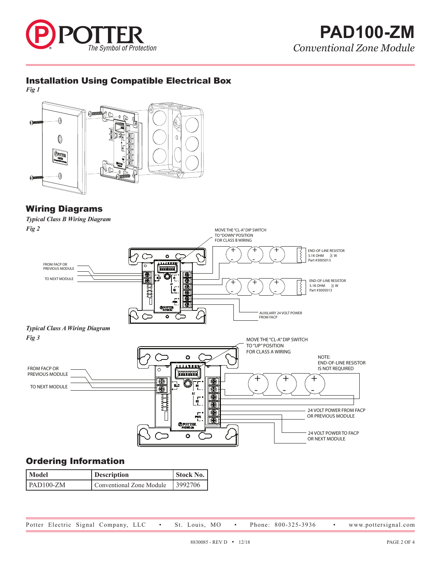

# **PAD100-ZM** *Conventional Zone Module*

### Installation Using Compatible Electrical Box

*Fig 1*



### Wiring Diagrams

*Typical Class B Wiring Diagram Fig 2*



# Ordering Information

| Model       | Description              | Stock No. |
|-------------|--------------------------|-----------|
| $PAD100-ZM$ | Conventional Zone Module | 3992706   |

Potter Electric Signal Company, LLC . St. Louis, MO . Phone: 800-325-3936 . www.pottersignal.com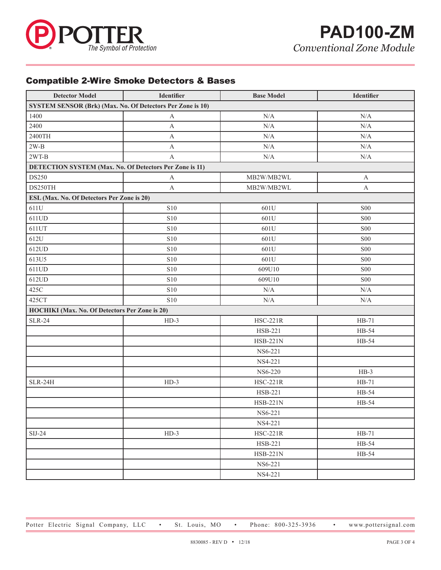

### Compatible 2-Wire Smoke Detectors & Bases

| <b>Detector Model</b>                                             | <b>Identifier</b> | <b>Base Model</b> | Identifier      |  |  |  |
|-------------------------------------------------------------------|-------------------|-------------------|-----------------|--|--|--|
| <b>SYSTEM SENSOR (Brk) (Max. No. Of Detectors Per Zone is 10)</b> |                   |                   |                 |  |  |  |
| 1400                                                              | A                 | N/A               | N/A             |  |  |  |
| 2400                                                              | $\mathbf A$       | N/A               | N/A             |  |  |  |
| 2400TH                                                            | $\mathbf{A}$      | $\rm N/A$         | $\rm N/A$       |  |  |  |
| $2W-B$                                                            | A                 | $\rm N/A$         | $\rm N/A$       |  |  |  |
| $2WT-B$                                                           | $\mathbf{A}$      | N/A               | $\rm N/A$       |  |  |  |
| DETECTION SYSTEM (Max. No. Of Detectors Per Zone is 11)           |                   |                   |                 |  |  |  |
| DS250                                                             | A                 | MB2W/MB2WL        | $\mathbf{A}$    |  |  |  |
| DS250TH                                                           | $\mathbf{A}$      | MB2W/MB2WL        | $\mathbf{A}$    |  |  |  |
| ESL (Max. No. Of Detectors Per Zone is 20)                        |                   |                   |                 |  |  |  |
| 611U                                                              | <b>S10</b>        | 601U              | <b>S00</b>      |  |  |  |
| 611UD                                                             | <b>S10</b>        | 601U              | S <sub>00</sub> |  |  |  |
| 611UT                                                             | <b>S10</b>        | 601U              | ${\rm S00}$     |  |  |  |
| 612U                                                              | <b>S10</b>        | 601U              | S <sub>00</sub> |  |  |  |
| 612UD                                                             | ${\bf S10}$       | 601U              | S <sub>00</sub> |  |  |  |
| 613U5                                                             | <b>S10</b>        | 601U              | S <sub>00</sub> |  |  |  |
| 611UD                                                             | ${\bf S10}$       | 609U10            | <b>S00</b>      |  |  |  |
| 612UD                                                             | <b>S10</b>        | 609U10            | S <sub>00</sub> |  |  |  |
| 425C                                                              | <b>S10</b>        | $\rm N/A$         | N/A             |  |  |  |
| 425CT                                                             | <b>S10</b>        | N/A               | N/A             |  |  |  |
| HOCHIKI (Max. No. Of Detectors Per Zone is 20)                    |                   |                   |                 |  |  |  |
| <b>SLR-24</b>                                                     | $HD-3$            | <b>HSC-221R</b>   | $HB-71$         |  |  |  |
|                                                                   |                   | HSB-221           | HB-54           |  |  |  |
|                                                                   |                   | <b>HSB-221N</b>   | HB-54           |  |  |  |
|                                                                   |                   | NS6-221           |                 |  |  |  |
|                                                                   |                   | NS4-221           |                 |  |  |  |
|                                                                   |                   | NS6-220           | $HB-3$          |  |  |  |
| $SLR-24H$                                                         | $HD-3$            | <b>HSC-221R</b>   | $HB-71$         |  |  |  |
|                                                                   |                   | HSB-221           | HB-54           |  |  |  |
|                                                                   |                   | <b>HSB-221N</b>   | HB-54           |  |  |  |
|                                                                   |                   | NS6-221           |                 |  |  |  |
|                                                                   |                   | NS4-221           |                 |  |  |  |
| SIJ-24                                                            | $HD-3$            | <b>HSC-221R</b>   | $HB-71$         |  |  |  |
|                                                                   |                   | HSB-221           | HB-54           |  |  |  |
|                                                                   |                   | <b>HSB-221N</b>   | HB-54           |  |  |  |
|                                                                   |                   | NS6-221           |                 |  |  |  |
|                                                                   |                   | NS4-221           |                 |  |  |  |